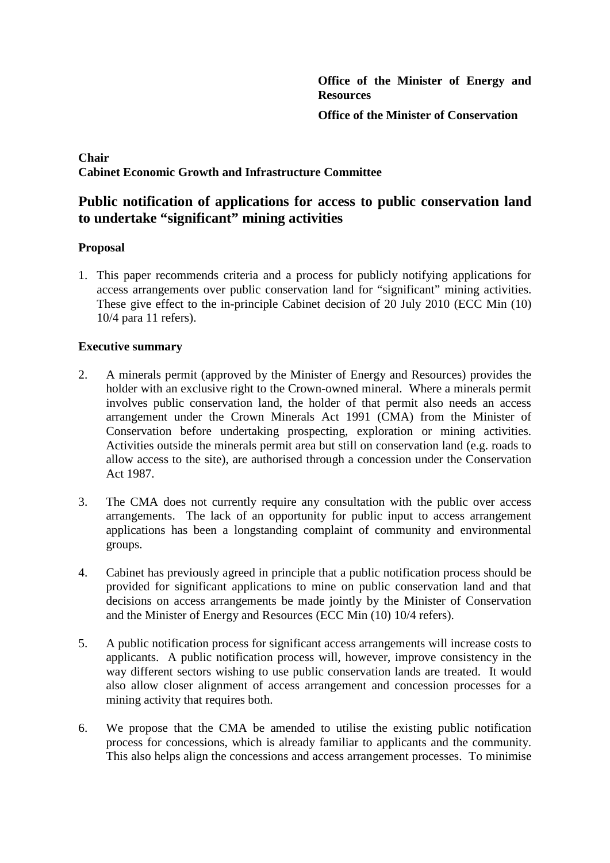**Office of the Minister of Energy and Resources**

**Office of the Minister of Conservation**

## **Chair Cabinet Economic Growth and Infrastructure Committee**

# **Public notification of applications for access to public conservation land to undertake "significant" mining activities**

## **Proposal**

1. This paper recommends criteria and a process for publicly notifying applications for access arrangements over public conservation land for "significant" mining activities. These give effect to the in-principle Cabinet decision of 20 July 2010 (ECC Min (10) 10/4 para 11 refers).

## **Executive summary**

- 2. A minerals permit (approved by the Minister of Energy and Resources) provides the holder with an exclusive right to the Crown-owned mineral. Where a minerals permit involves public conservation land, the holder of that permit also needs an access arrangement under the Crown Minerals Act 1991 (CMA) from the Minister of Conservation before undertaking prospecting, exploration or mining activities. Activities outside the minerals permit area but still on conservation land (e.g. roads to allow access to the site), are authorised through a concession under the Conservation Act 1987.
- 3. The CMA does not currently require any consultation with the public over access arrangements. The lack of an opportunity for public input to access arrangement applications has been a longstanding complaint of community and environmental groups.
- 4. Cabinet has previously agreed in principle that a public notification process should be provided for significant applications to mine on public conservation land and that decisions on access arrangements be made jointly by the Minister of Conservation and the Minister of Energy and Resources (ECC Min (10) 10/4 refers).
- 5. A public notification process for significant access arrangements will increase costs to applicants. A public notification process will, however, improve consistency in the way different sectors wishing to use public conservation lands are treated. It would also allow closer alignment of access arrangement and concession processes for a mining activity that requires both.
- <span id="page-0-0"></span>6. We propose that the CMA be amended to utilise the existing public notification process for concessions, which is already familiar to applicants and the community. This also helps align the concessions and access arrangement processes. To minimise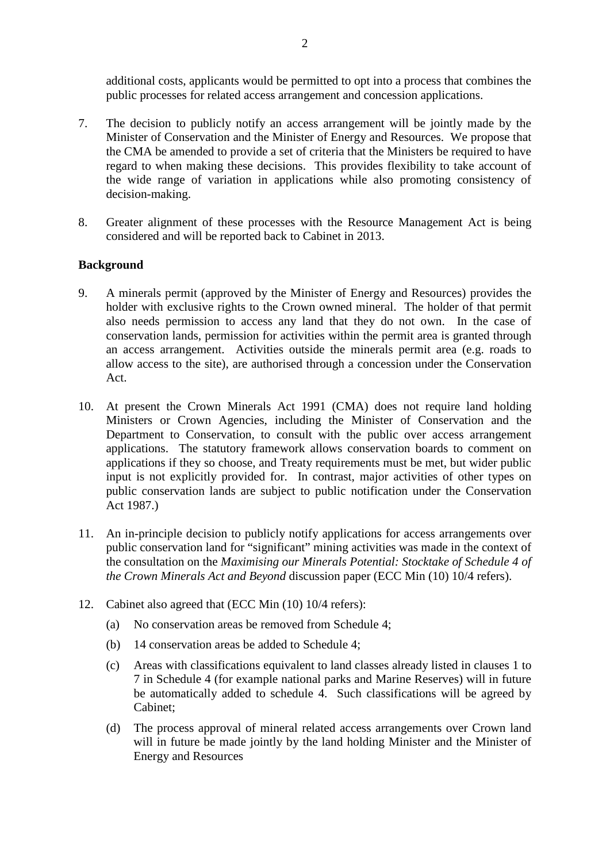additional costs, applicants would be permitted to opt into a process that combines the public processes for related access arrangement and concession applications.

- 7. The decision to publicly notify an access arrangement will be jointly made by the Minister of Conservation and the Minister of Energy and Resources. We propose that the CMA be amended to provide a set of criteria that the Ministers be required to have regard to when making these decisions. This provides flexibility to take account of the wide range of variation in applications while also promoting consistency of decision-making.
- 8. Greater alignment of these processes with the Resource Management Act is being considered and will be reported back to Cabinet in 2013.

## **Background**

- 9. A minerals permit (approved by the Minister of Energy and Resources) provides the holder with exclusive rights to the Crown owned mineral. The holder of that permit also needs permission to access any land that they do not own. In the case of conservation lands, permission for activities within the permit area is granted through an access arrangement. Activities outside the minerals permit area (e.g. roads to allow access to the site), are authorised through a concession under the Conservation Act.
- 10. At present the Crown Minerals Act 1991 (CMA) does not require land holding Ministers or Crown Agencies, including the Minister of Conservation and the Department to Conservation, to consult with the public over access arrangement applications. The statutory framework allows conservation boards to comment on applications if they so choose, and Treaty requirements must be met, but wider public input is not explicitly provided for. In contrast, major activities of other types on public conservation lands are subject to public notification under the Conservation Act 1987.)
- 11. An in-principle decision to publicly notify applications for access arrangements over public conservation land for "significant" mining activities was made in the context of the consultation on the *Maximising our Minerals Potential: Stocktake of Schedule 4 of the Crown Minerals Act and Beyond* discussion paper (ECC Min (10) 10/4 refers).
- <span id="page-1-0"></span>12. Cabinet also agreed that (ECC Min (10) 10/4 refers):
	- (a) No conservation areas be removed from Schedule 4;
	- (b) 14 conservation areas be added to Schedule 4;
	- (c) Areas with classifications equivalent to land classes already listed in clauses 1 to 7 in Schedule 4 (for example national parks and Marine Reserves) will in future be automatically added to schedule 4. Such classifications will be agreed by Cabinet;
	- (d) The process approval of mineral related access arrangements over Crown land will in future be made jointly by the land holding Minister and the Minister of Energy and Resources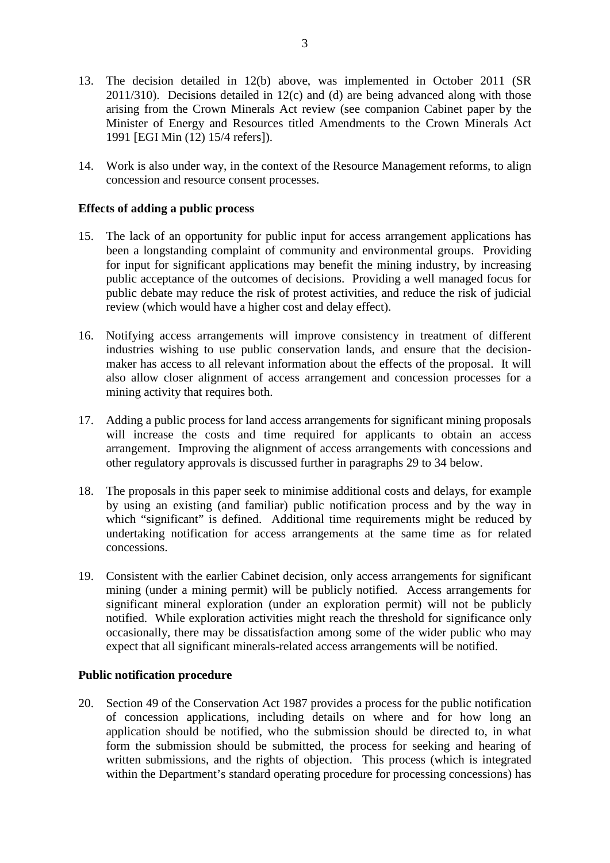- 13. The decision detailed in [12\(](#page-1-0)b) above, was implemented in October 2011 (SR 2011/310). Decisions detailed in [12\(](#page-1-0)c) and (d) are being advanced along with those arising from the Crown Minerals Act review (see companion Cabinet paper by the Minister of Energy and Resources titled Amendments to the Crown Minerals Act 1991 [EGI Min (12) 15/4 refers]).
- 14. Work is also under way, in the context of the Resource Management reforms, to align concession and resource consent processes.

## **Effects of adding a public process**

- 15. The lack of an opportunity for public input for access arrangement applications has been a longstanding complaint of community and environmental groups. Providing for input for significant applications may benefit the mining industry, by increasing public acceptance of the outcomes of decisions. Providing a well managed focus for public debate may reduce the risk of protest activities, and reduce the risk of judicial review (which would have a higher cost and delay effect).
- 16. Notifying access arrangements will improve consistency in treatment of different industries wishing to use public conservation lands, and ensure that the decisionmaker has access to all relevant information about the effects of the proposal. It will also allow closer alignment of access arrangement and concession processes for a mining activity that requires both.
- 17. Adding a public process for land access arrangements for significant mining proposals will increase the costs and time required for applicants to obtain an access arrangement. Improving the alignment of access arrangements with concessions and other regulatory approvals is discussed further in paragraphs [29](#page-4-0) to [34](#page-5-0) below.
- 18. The proposals in this paper seek to minimise additional costs and delays, for example by using an existing (and familiar) public notification process and by the way in which "significant" is defined. Additional time requirements might be reduced by undertaking notification for access arrangements at the same time as for related concessions.
- 19. Consistent with the earlier Cabinet decision, only access arrangements for significant mining (under a mining permit) will be publicly notified. Access arrangements for significant mineral exploration (under an exploration permit) will not be publicly notified. While exploration activities might reach the threshold for significance only occasionally, there may be dissatisfaction among some of the wider public who may expect that all significant minerals-related access arrangements will be notified.

## **Public notification procedure**

20. Section 49 of the Conservation Act 1987 provides a process for the public notification of concession applications, including details on where and for how long an application should be notified, who the submission should be directed to, in what form the submission should be submitted, the process for seeking and hearing of written submissions, and the rights of objection. This process (which is integrated within the Department's standard operating procedure for processing concessions) has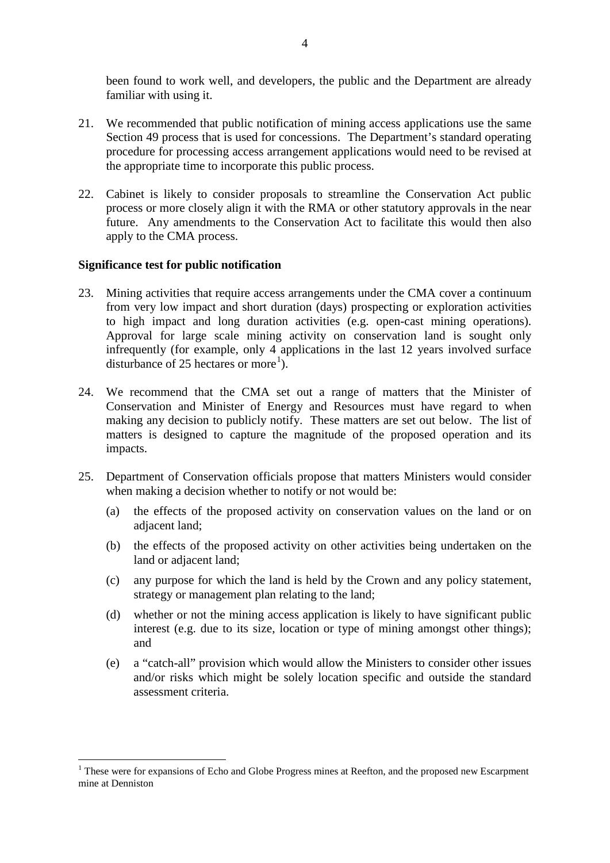been found to work well, and developers, the public and the Department are already familiar with using it.

- 21. We recommended that public notification of mining access applications use the same Section 49 process that is used for concessions. The Department's standard operating procedure for processing access arrangement applications would need to be revised at the appropriate time to incorporate this public process.
- 22. Cabinet is likely to consider proposals to streamline the Conservation Act public process or more closely align it with the RMA or other statutory approvals in the near future. Any amendments to the Conservation Act to facilitate this would then also apply to the CMA process.

#### **Significance test for public notification**

- 23. Mining activities that require access arrangements under the CMA cover a continuum from very low impact and short duration (days) prospecting or exploration activities to high impact and long duration activities (e.g. open-cast mining operations). Approval for large scale mining activity on conservation land is sought only infrequently (for example, only 4 applications in the last 12 years involved surface disturbance of 25 hectares or more<sup>[1](#page-0-0)</sup>).
- 24. We recommend that the CMA set out a range of matters that the Minister of Conservation and Minister of Energy and Resources must have regard to when making any decision to publicly notify. These matters are set out below. The list of matters is designed to capture the magnitude of the proposed operation and its impacts.
- 25. Department of Conservation officials propose that matters Ministers would consider when making a decision whether to notify or not would be:
	- (a) the effects of the proposed activity on conservation values on the land or on adjacent land;
	- (b) the effects of the proposed activity on other activities being undertaken on the land or adjacent land;
	- (c) any purpose for which the land is held by the Crown and any policy statement, strategy or management plan relating to the land;
	- (d) whether or not the mining access application is likely to have significant public interest (e.g. due to its size, location or type of mining amongst other things); and
	- (e) a "catch-all" provision which would allow the Ministers to consider other issues and/or risks which might be solely location specific and outside the standard assessment criteria.

<span id="page-3-0"></span><sup>&</sup>lt;sup>1</sup> These were for expansions of Echo and Globe Progress mines at Reefton, and the proposed new Escarpment mine at Denniston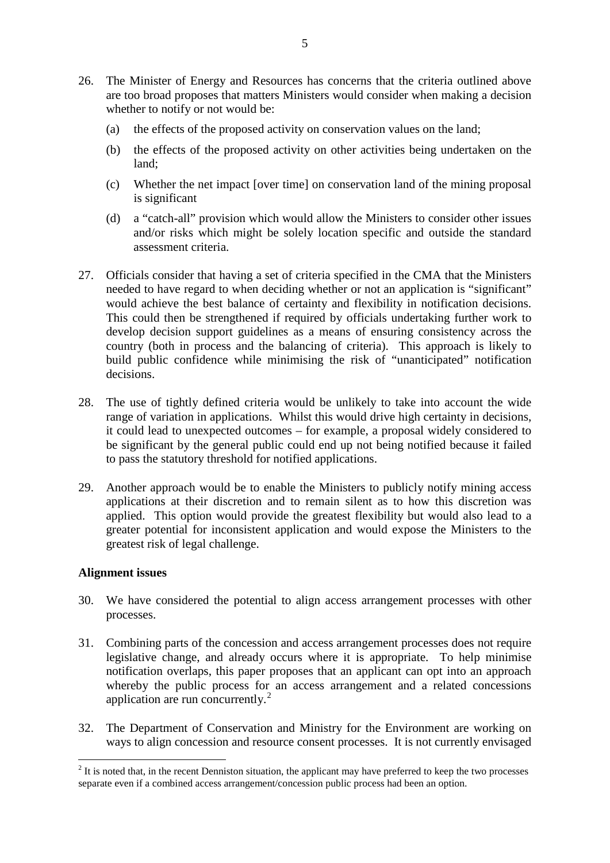- 26. The Minister of Energy and Resources has concerns that the criteria outlined above are too broad proposes that matters Ministers would consider when making a decision whether to notify or not would be:
	- (a) the effects of the proposed activity on conservation values on the land;
	- (b) the effects of the proposed activity on other activities being undertaken on the land;
	- (c) Whether the net impact [over time] on conservation land of the mining proposal is significant
	- (d) a "catch-all" provision which would allow the Ministers to consider other issues and/or risks which might be solely location specific and outside the standard assessment criteria.
- 27. Officials consider that having a set of criteria specified in the CMA that the Ministers needed to have regard to when deciding whether or not an application is "significant" would achieve the best balance of certainty and flexibility in notification decisions. This could then be strengthened if required by officials undertaking further work to develop decision support guidelines as a means of ensuring consistency across the country (both in process and the balancing of criteria). This approach is likely to build public confidence while minimising the risk of "unanticipated" notification decisions.
- 28. The use of tightly defined criteria would be unlikely to take into account the wide range of variation in applications. Whilst this would drive high certainty in decisions, it could lead to unexpected outcomes – for example, a proposal widely considered to be significant by the general public could end up not being notified because it failed to pass the statutory threshold for notified applications.
- 29. Another approach would be to enable the Ministers to publicly notify mining access applications at their discretion and to remain silent as to how this discretion was applied. This option would provide the greatest flexibility but would also lead to a greater potential for inconsistent application and would expose the Ministers to the greatest risk of legal challenge.

## **Alignment issues**

- <span id="page-4-0"></span>30. We have considered the potential to align access arrangement processes with other processes.
- 31. Combining parts of the concession and access arrangement processes does not require legislative change, and already occurs where it is appropriate. To help minimise notification overlaps, this paper proposes that an applicant can opt into an approach whereby the public process for an access arrangement and a related concessions application are run concurrently.<sup>[2](#page-3-0)</sup>
- 32. The Department of Conservation and Ministry for the Environment are working on ways to align concession and resource consent processes. It is not currently envisaged

 $2$  It is noted that, in the recent Denniston situation, the applicant may have preferred to keep the two processes separate even if a combined access arrangement/concession public process had been an option.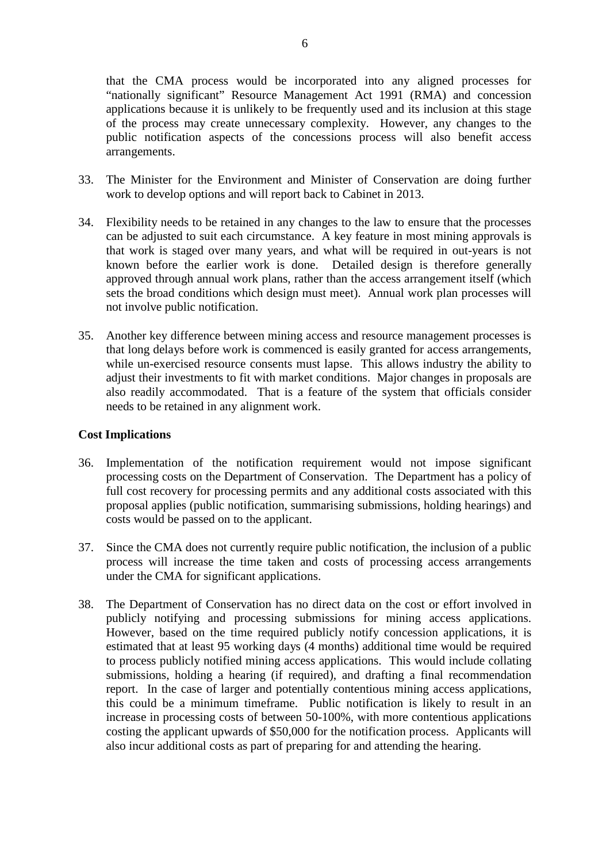that the CMA process would be incorporated into any aligned processes for "nationally significant" Resource Management Act 1991 (RMA) and concession applications because it is unlikely to be frequently used and its inclusion at this stage of the process may create unnecessary complexity. However, any changes to the public notification aspects of the concessions process will also benefit access arrangements.

- 33. The Minister for the Environment and Minister of Conservation are doing further work to develop options and will report back to Cabinet in 2013.
- 34. Flexibility needs to be retained in any changes to the law to ensure that the processes can be adjusted to suit each circumstance. A key feature in most mining approvals is that work is staged over many years, and what will be required in out-years is not known before the earlier work is done. Detailed design is therefore generally approved through annual work plans, rather than the access arrangement itself (which sets the broad conditions which design must meet). Annual work plan processes will not involve public notification.
- <span id="page-5-0"></span>35. Another key difference between mining access and resource management processes is that long delays before work is commenced is easily granted for access arrangements, while un-exercised resource consents must lapse. This allows industry the ability to adjust their investments to fit with market conditions. Major changes in proposals are also readily accommodated. That is a feature of the system that officials consider needs to be retained in any alignment work.

#### **Cost Implications**

- 36. Implementation of the notification requirement would not impose significant processing costs on the Department of Conservation. The Department has a policy of full cost recovery for processing permits and any additional costs associated with this proposal applies (public notification, summarising submissions, holding hearings) and costs would be passed on to the applicant.
- 37. Since the CMA does not currently require public notification, the inclusion of a public process will increase the time taken and costs of processing access arrangements under the CMA for significant applications.
- 38. The Department of Conservation has no direct data on the cost or effort involved in publicly notifying and processing submissions for mining access applications. However, based on the time required publicly notify concession applications, it is estimated that at least 95 working days (4 months) additional time would be required to process publicly notified mining access applications. This would include collating submissions, holding a hearing (if required), and drafting a final recommendation report. In the case of larger and potentially contentious mining access applications, this could be a minimum timeframe. Public notification is likely to result in an increase in processing costs of between 50-100%, with more contentious applications costing the applicant upwards of \$50,000 for the notification process. Applicants will also incur additional costs as part of preparing for and attending the hearing.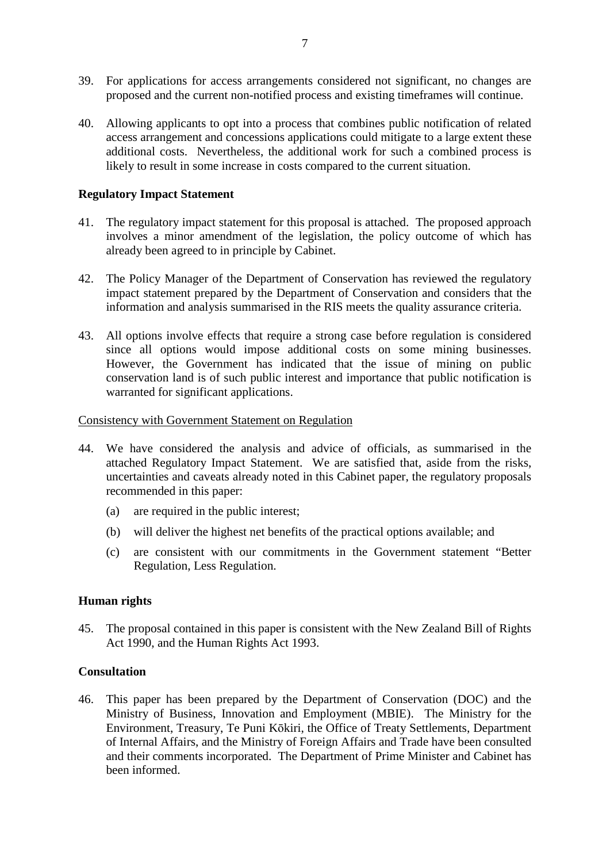- 39. For applications for access arrangements considered not significant, no changes are proposed and the current non-notified process and existing timeframes will continue.
- 40. Allowing applicants to opt into a process that combines public notification of related access arrangement and concessions applications could mitigate to a large extent these additional costs. Nevertheless, the additional work for such a combined process is likely to result in some increase in costs compared to the current situation.

## **Regulatory Impact Statement**

- 41. The regulatory impact statement for this proposal is attached. The proposed approach involves a minor amendment of the legislation, the policy outcome of which has already been agreed to in principle by Cabinet.
- 42. The Policy Manager of the Department of Conservation has reviewed the regulatory impact statement prepared by the Department of Conservation and considers that the information and analysis summarised in the RIS meets the quality assurance criteria.
- 43. All options involve effects that require a strong case before regulation is considered since all options would impose additional costs on some mining businesses. However, the Government has indicated that the issue of mining on public conservation land is of such public interest and importance that public notification is warranted for significant applications.

## Consistency with Government Statement on Regulation

- 44. We have considered the analysis and advice of officials, as summarised in the attached Regulatory Impact Statement. We are satisfied that, aside from the risks, uncertainties and caveats already noted in this Cabinet paper, the regulatory proposals recommended in this paper:
	- (a) are required in the public interest;
	- (b) will deliver the highest net benefits of the practical options available; and
	- (c) are consistent with our commitments in the Government statement "Better Regulation, Less Regulation.

## **Human rights**

45. The proposal contained in this paper is consistent with the New Zealand Bill of Rights Act 1990, and the Human Rights Act 1993.

## **Consultation**

46. This paper has been prepared by the Department of Conservation (DOC) and the Ministry of Business, Innovation and Employment (MBIE). The Ministry for the Environment, Treasury, Te Puni Kōkiri, the Office of Treaty Settlements, Department of Internal Affairs, and the Ministry of Foreign Affairs and Trade have been consulted and their comments incorporated. The Department of Prime Minister and Cabinet has been informed.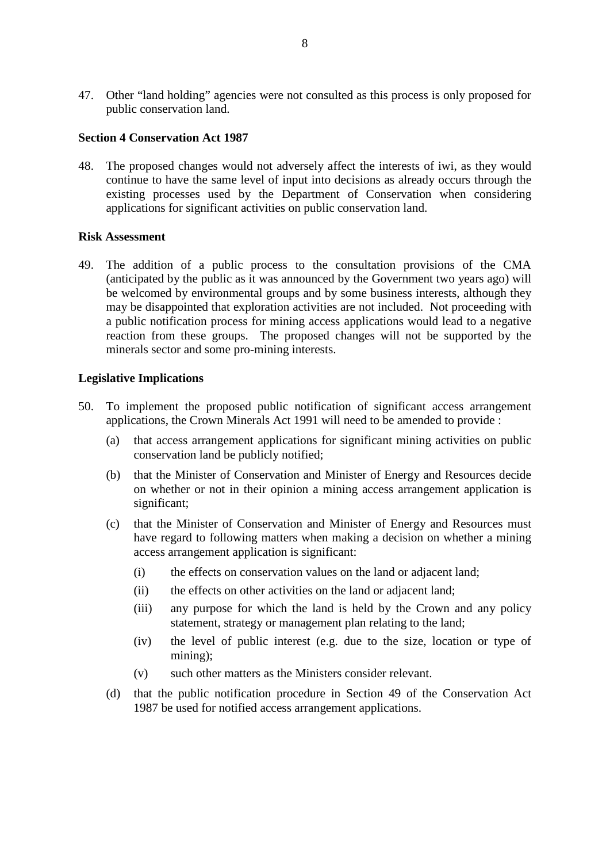47. Other "land holding" agencies were not consulted as this process is only proposed for public conservation land.

#### **Section 4 Conservation Act 1987**

48. The proposed changes would not adversely affect the interests of iwi, as they would continue to have the same level of input into decisions as already occurs through the existing processes used by the Department of Conservation when considering applications for significant activities on public conservation land.

#### **Risk Assessment**

49. The addition of a public process to the consultation provisions of the CMA (anticipated by the public as it was announced by the Government two years ago) will be welcomed by environmental groups and by some business interests, although they may be disappointed that exploration activities are not included. Not proceeding with a public notification process for mining access applications would lead to a negative reaction from these groups. The proposed changes will not be supported by the minerals sector and some pro-mining interests.

#### **Legislative Implications**

- 50. To implement the proposed public notification of significant access arrangement applications, the Crown Minerals Act 1991 will need to be amended to provide :
	- (a) that access arrangement applications for significant mining activities on public conservation land be publicly notified;
	- (b) that the Minister of Conservation and Minister of Energy and Resources decide on whether or not in their opinion a mining access arrangement application is significant;
	- (c) that the Minister of Conservation and Minister of Energy and Resources must have regard to following matters when making a decision on whether a mining access arrangement application is significant:
		- (i) the effects on conservation values on the land or adjacent land;
		- (ii) the effects on other activities on the land or adjacent land;
		- (iii) any purpose for which the land is held by the Crown and any policy statement, strategy or management plan relating to the land;
		- (iv) the level of public interest (e.g. due to the size, location or type of mining);
		- (v) such other matters as the Ministers consider relevant.
	- (d) that the public notification procedure in Section 49 of the Conservation Act 1987 be used for notified access arrangement applications.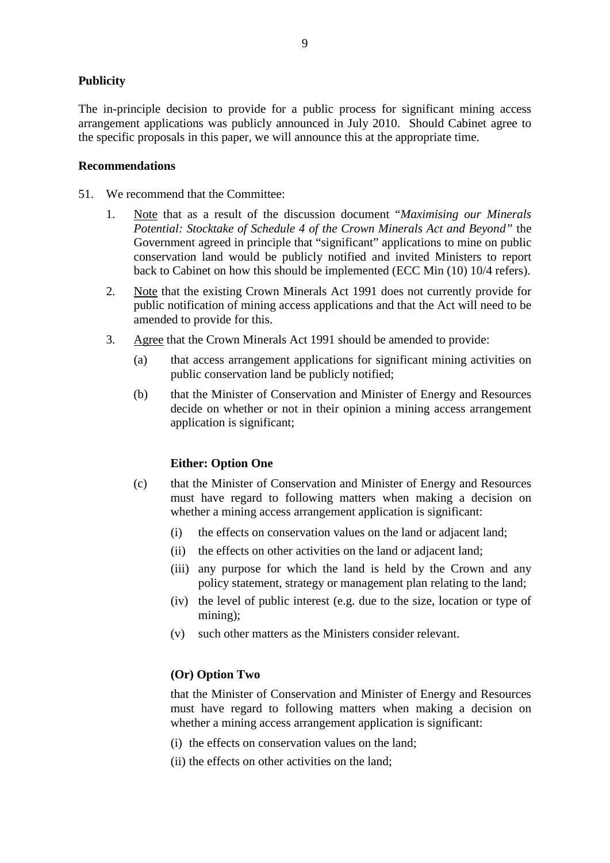## **Publicity**

The in-principle decision to provide for a public process for significant mining access arrangement applications was publicly announced in July 2010. Should Cabinet agree to the specific proposals in this paper, we will announce this at the appropriate time.

#### **Recommendations**

51. We recommend that the Committee:

- 1. Note that as a result of the discussion document "*Maximising our Minerals Potential: Stocktake of Schedule 4 of the Crown Minerals Act and Beyond"* the Government agreed in principle that "significant" applications to mine on public conservation land would be publicly notified and invited Ministers to report back to Cabinet on how this should be implemented (ECC Min (10) 10/4 refers).
- 2. Note that the existing Crown Minerals Act 1991 does not currently provide for public notification of mining access applications and that the Act will need to be amended to provide for this.
- 3. Agree that the Crown Minerals Act 1991 should be amended to provide:
	- (a) that access arrangement applications for significant mining activities on public conservation land be publicly notified;
	- (b) that the Minister of Conservation and Minister of Energy and Resources decide on whether or not in their opinion a mining access arrangement application is significant;

## **Either: Option One**

- (c) that the Minister of Conservation and Minister of Energy and Resources must have regard to following matters when making a decision on whether a mining access arrangement application is significant:
	- (i) the effects on conservation values on the land or adjacent land;
	- (ii) the effects on other activities on the land or adjacent land;
	- (iii) any purpose for which the land is held by the Crown and any policy statement, strategy or management plan relating to the land;
	- (iv) the level of public interest (e.g. due to the size, location or type of mining);
	- (v) such other matters as the Ministers consider relevant.

## **(Or) Option Two**

that the Minister of Conservation and Minister of Energy and Resources must have regard to following matters when making a decision on whether a mining access arrangement application is significant:

- (i) the effects on conservation values on the land;
- (ii) the effects on other activities on the land;